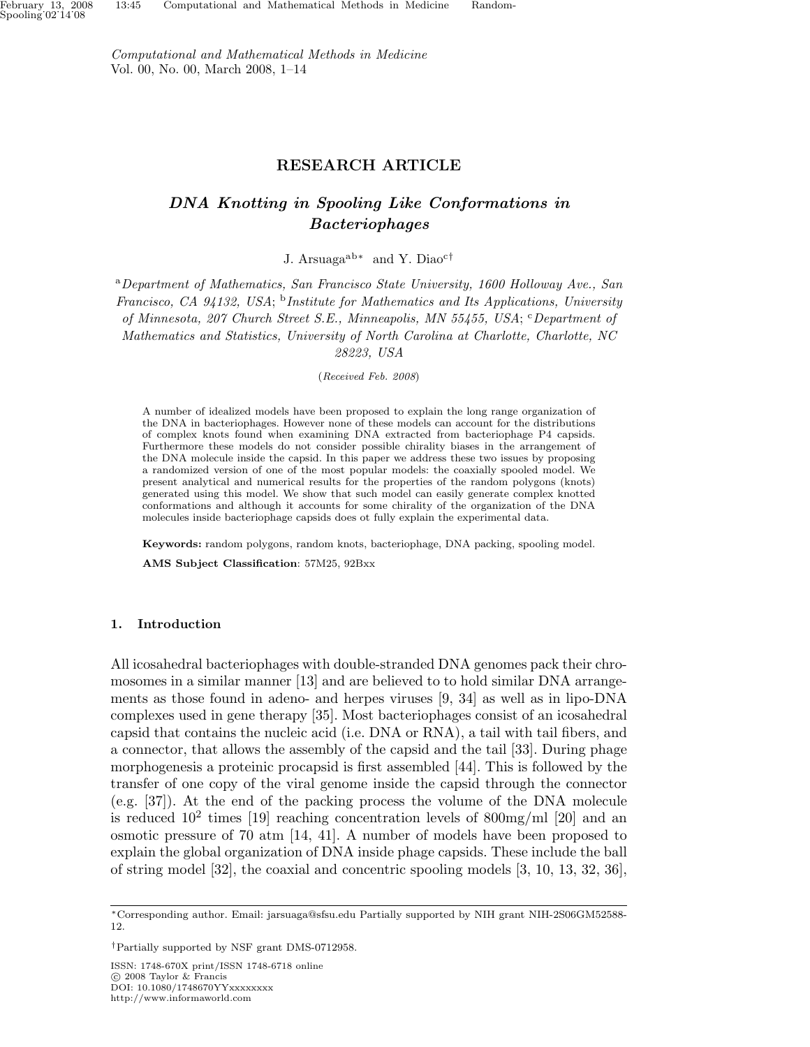Computational and Mathematical Methods in Medicine Vol. 00, No. 00, March 2008, 1–14

# RESEARCH ARTICLE

# DNA Knotting in Spooling Like Conformations in Bacteriophages

J. Arsuagaab<sup>∗</sup> and Y. Diao<sup>c</sup>†

<sup>a</sup>Department of Mathematics, San Francisco State University, 1600 Holloway Ave., San Francisco, CA 94132, USA; <sup>b</sup>Institute for Mathematics and Its Applications, University of Minnesota, 207 Church Street S.E., Minneapolis, MN 55455, USA; CDepartment of Mathematics and Statistics, University of North Carolina at Charlotte, Charlotte, NC 28223, USA

(Received Feb. 2008)

A number of idealized models have been proposed to explain the long range organization of the DNA in bacteriophages. However none of these models can account for the distributions of complex knots found when examining DNA extracted from bacteriophage P4 capsids. Furthermore these models do not consider possible chirality biases in the arrangement of the DNA molecule inside the capsid. In this paper we address these two issues by proposing a randomized version of one of the most popular models: the coaxially spooled model. We present analytical and numerical results for the properties of the random polygons (knots) generated using this model. We show that such model can easily generate complex knotted conformations and although it accounts for some chirality of the organization of the DNA molecules inside bacteriophage capsids does ot fully explain the experimental data.

Keywords: random polygons, random knots, bacteriophage, DNA packing, spooling model.

AMS Subject Classification: 57M25, 92Bxx

#### 1. Introduction

All icosahedral bacteriophages with double-stranded DNA genomes pack their chromosomes in a similar manner [13] and are believed to to hold similar DNA arrangements as those found in adeno- and herpes viruses [9, 34] as well as in lipo-DNA complexes used in gene therapy [35]. Most bacteriophages consist of an icosahedral capsid that contains the nucleic acid (i.e. DNA or RNA), a tail with tail fibers, and a connector, that allows the assembly of the capsid and the tail [33]. During phage morphogenesis a proteinic procapsid is first assembled [44]. This is followed by the transfer of one copy of the viral genome inside the capsid through the connector (e.g. [37]). At the end of the packing process the volume of the DNA molecule is reduced  $10^2$  times [19] reaching concentration levels of 800mg/ml [20] and an osmotic pressure of 70 atm [14, 41]. A number of models have been proposed to explain the global organization of DNA inside phage capsids. These include the ball of string model  $[32]$ , the coaxial and concentric spooling models  $[3, 10, 13, 32, 36]$ ,

<sup>∗</sup>Corresponding author. Email: jarsuaga@sfsu.edu Partially supported by NIH grant NIH-2S06GM52588- 12.

<sup>†</sup>Partially supported by NSF grant DMS-0712958.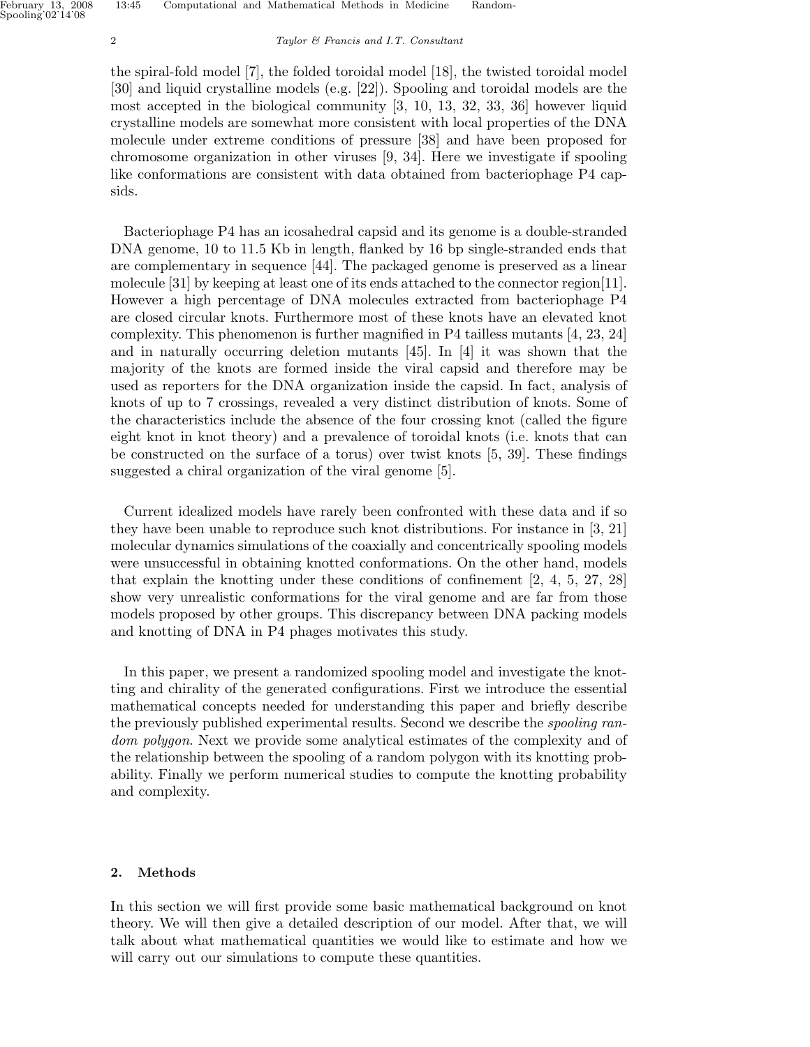the spiral-fold model [7], the folded toroidal model [18], the twisted toroidal model [30] and liquid crystalline models (e.g. [22]). Spooling and toroidal models are the most accepted in the biological community [3, 10, 13, 32, 33, 36] however liquid crystalline models are somewhat more consistent with local properties of the DNA molecule under extreme conditions of pressure [38] and have been proposed for chromosome organization in other viruses [9, 34]. Here we investigate if spooling like conformations are consistent with data obtained from bacteriophage P4 capsids.

Bacteriophage P4 has an icosahedral capsid and its genome is a double-stranded DNA genome, 10 to 11.5 Kb in length, flanked by 16 bp single-stranded ends that are complementary in sequence [44]. The packaged genome is preserved as a linear molecule [31] by keeping at least one of its ends attached to the connector region[11]. However a high percentage of DNA molecules extracted from bacteriophage P4 are closed circular knots. Furthermore most of these knots have an elevated knot complexity. This phenomenon is further magnified in P4 tailless mutants [4, 23, 24] and in naturally occurring deletion mutants [45]. In [4] it was shown that the majority of the knots are formed inside the viral capsid and therefore may be used as reporters for the DNA organization inside the capsid. In fact, analysis of knots of up to 7 crossings, revealed a very distinct distribution of knots. Some of the characteristics include the absence of the four crossing knot (called the figure eight knot in knot theory) and a prevalence of toroidal knots (i.e. knots that can be constructed on the surface of a torus) over twist knots [5, 39]. These findings suggested a chiral organization of the viral genome [5].

Current idealized models have rarely been confronted with these data and if so they have been unable to reproduce such knot distributions. For instance in [3, 21] molecular dynamics simulations of the coaxially and concentrically spooling models were unsuccessful in obtaining knotted conformations. On the other hand, models that explain the knotting under these conditions of confinement [2, 4, 5, 27, 28] show very unrealistic conformations for the viral genome and are far from those models proposed by other groups. This discrepancy between DNA packing models and knotting of DNA in P4 phages motivates this study.

In this paper, we present a randomized spooling model and investigate the knotting and chirality of the generated configurations. First we introduce the essential mathematical concepts needed for understanding this paper and briefly describe the previously published experimental results. Second we describe the *spooling ran*dom polygon. Next we provide some analytical estimates of the complexity and of the relationship between the spooling of a random polygon with its knotting probability. Finally we perform numerical studies to compute the knotting probability and complexity.

# 2. Methods

In this section we will first provide some basic mathematical background on knot theory. We will then give a detailed description of our model. After that, we will talk about what mathematical quantities we would like to estimate and how we will carry out our simulations to compute these quantities.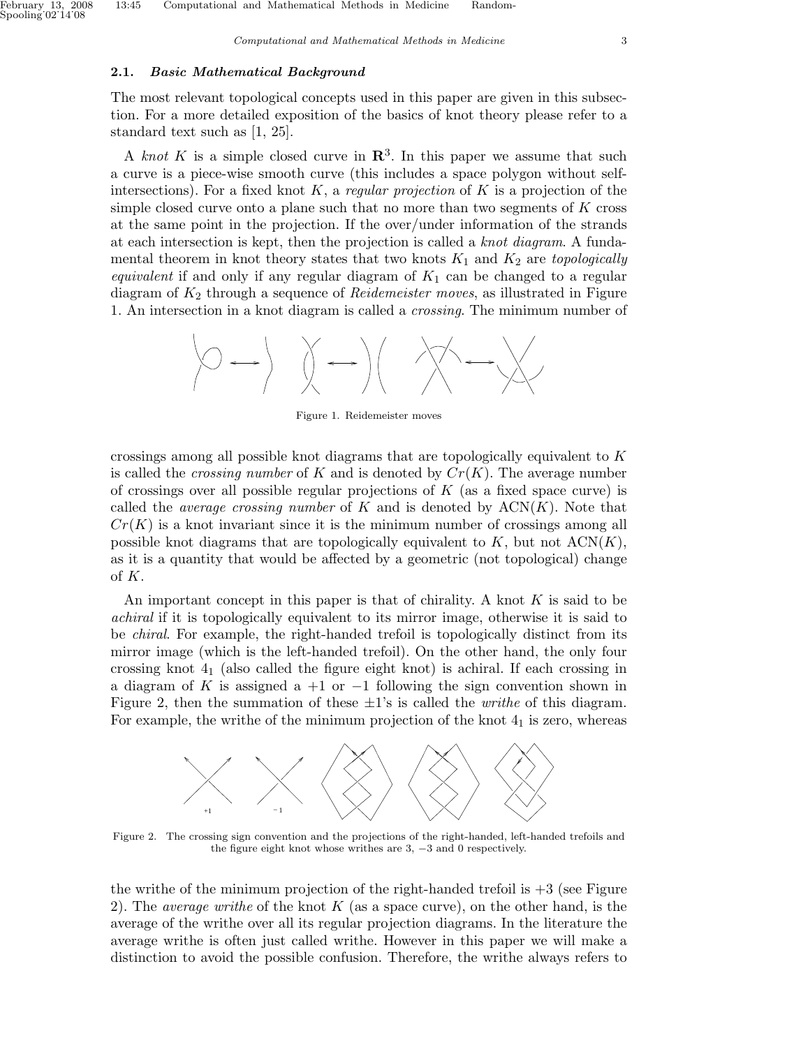# 2.1. Basic Mathematical Background

The most relevant topological concepts used in this paper are given in this subsection. For a more detailed exposition of the basics of knot theory please refer to a standard text such as [1, 25].

A knot K is a simple closed curve in  $\mathbb{R}^3$ . In this paper we assume that such a curve is a piece-wise smooth curve (this includes a space polygon without selfintersections). For a fixed knot  $K$ , a regular projection of K is a projection of the simple closed curve onto a plane such that no more than two segments of  $K$  cross at the same point in the projection. If the over/under information of the strands at each intersection is kept, then the projection is called a knot diagram. A fundamental theorem in knot theory states that two knots  $K_1$  and  $K_2$  are topologically equivalent if and only if any regular diagram of  $K_1$  can be changed to a regular diagram of  $K_2$  through a sequence of *Reidemeister moves*, as illustrated in Figure 1. An intersection in a knot diagram is called a crossing. The minimum number of



Figure 1. Reidemeister moves

crossings among all possible knot diagrams that are topologically equivalent to  $K$ is called the *crossing number* of K and is denoted by  $Cr(K)$ . The average number of crossings over all possible regular projections of  $K$  (as a fixed space curve) is called the *average crossing number* of K and is denoted by  $ACN(K)$ . Note that  $Cr(K)$  is a knot invariant since it is the minimum number of crossings among all possible knot diagrams that are topologically equivalent to  $K$ , but not  $ACN(K)$ , as it is a quantity that would be affected by a geometric (not topological) change of K.

An important concept in this paper is that of chirality. A knot  $K$  is said to be achiral if it is topologically equivalent to its mirror image, otherwise it is said to be chiral. For example, the right-handed trefoil is topologically distinct from its mirror image (which is the left-handed trefoil). On the other hand, the only four crossing knot  $4<sub>1</sub>$  (also called the figure eight knot) is achiral. If each crossing in a diagram of K is assigned a +1 or  $-1$  following the sign convention shown in Figure 2, then the summation of these  $\pm 1$ 's is called the *writhe* of this diagram. For example, the writhe of the minimum projection of the knot  $4<sub>1</sub>$  is zero, whereas



Figure 2. The crossing sign convention and the projections of the right-handed, left-handed trefoils and the figure eight knot whose writhes are 3, −3 and 0 respectively.

the writhe of the minimum projection of the right-handed trefoil is  $+3$  (see Figure 2). The *average writhe* of the knot K (as a space curve), on the other hand, is the average of the writhe over all its regular projection diagrams. In the literature the average writhe is often just called writhe. However in this paper we will make a distinction to avoid the possible confusion. Therefore, the writhe always refers to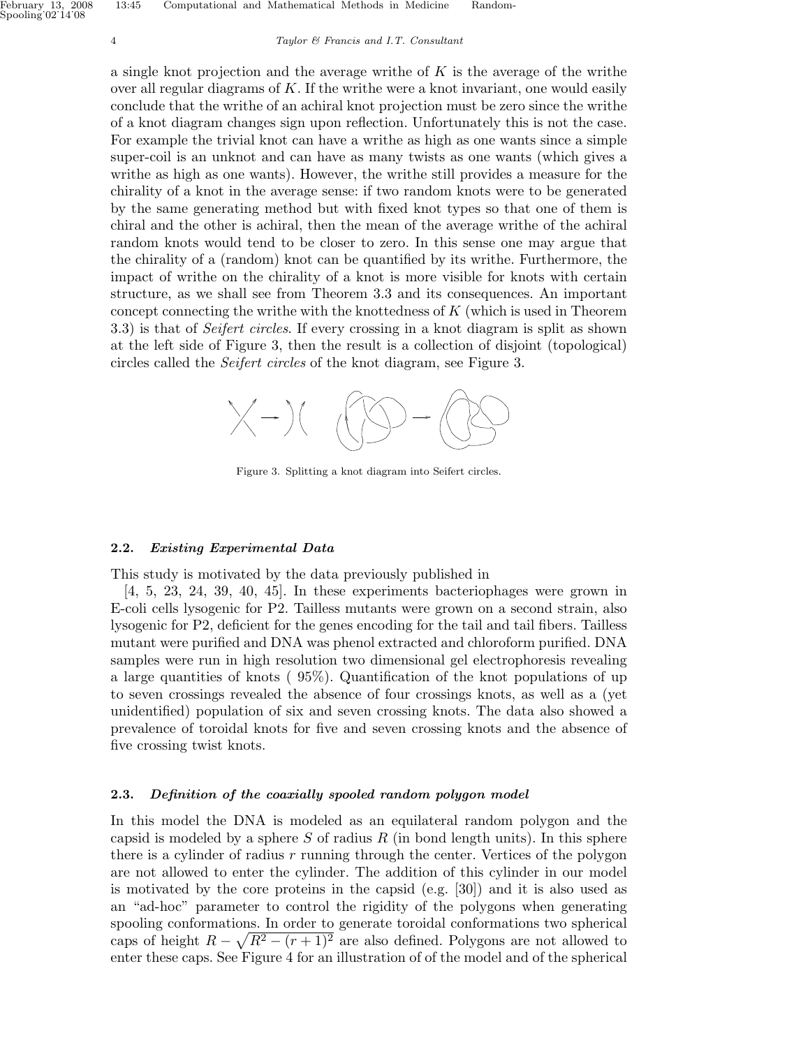a single knot projection and the average writhe of  $K$  is the average of the writhe over all regular diagrams of  $K$ . If the writhe were a knot invariant, one would easily conclude that the writhe of an achiral knot projection must be zero since the writhe of a knot diagram changes sign upon reflection. Unfortunately this is not the case. For example the trivial knot can have a writhe as high as one wants since a simple super-coil is an unknot and can have as many twists as one wants (which gives a writhe as high as one wants). However, the writhe still provides a measure for the chirality of a knot in the average sense: if two random knots were to be generated by the same generating method but with fixed knot types so that one of them is chiral and the other is achiral, then the mean of the average writhe of the achiral random knots would tend to be closer to zero. In this sense one may argue that the chirality of a (random) knot can be quantified by its writhe. Furthermore, the impact of writhe on the chirality of a knot is more visible for knots with certain structure, as we shall see from Theorem 3.3 and its consequences. An important concept connecting the writhe with the knottedness of  $K$  (which is used in Theorem 3.3) is that of Seifert circles. If every crossing in a knot diagram is split as shown at the left side of Figure 3, then the result is a collection of disjoint (topological) circles called the Seifert circles of the knot diagram, see Figure 3.



Figure 3. Splitting a knot diagram into Seifert circles.

#### 2.2. Existing Experimental Data

This study is motivated by the data previously published in

[4, 5, 23, 24, 39, 40, 45]. In these experiments bacteriophages were grown in E-coli cells lysogenic for P2. Tailless mutants were grown on a second strain, also lysogenic for P2, deficient for the genes encoding for the tail and tail fibers. Tailless mutant were purified and DNA was phenol extracted and chloroform purified. DNA samples were run in high resolution two dimensional gel electrophoresis revealing a large quantities of knots ( 95%). Quantification of the knot populations of up to seven crossings revealed the absence of four crossings knots, as well as a (yet unidentified) population of six and seven crossing knots. The data also showed a prevalence of toroidal knots for five and seven crossing knots and the absence of five crossing twist knots.

#### 2.3. Definition of the coaxially spooled random polygon model

In this model the DNA is modeled as an equilateral random polygon and the capsid is modeled by a sphere  $S$  of radius  $R$  (in bond length units). In this sphere there is a cylinder of radius  $r$  running through the center. Vertices of the polygon are not allowed to enter the cylinder. The addition of this cylinder in our model is motivated by the core proteins in the capsid (e.g. [30]) and it is also used as an "ad-hoc" parameter to control the rigidity of the polygons when generating spooling conformations. In order to generate toroidal conformations two spherical caps of height  $R - \sqrt{R^2 - (r+1)^2}$  are also defined. Polygons are not allowed to enter these caps. See Figure 4 for an illustration of of the model and of the spherical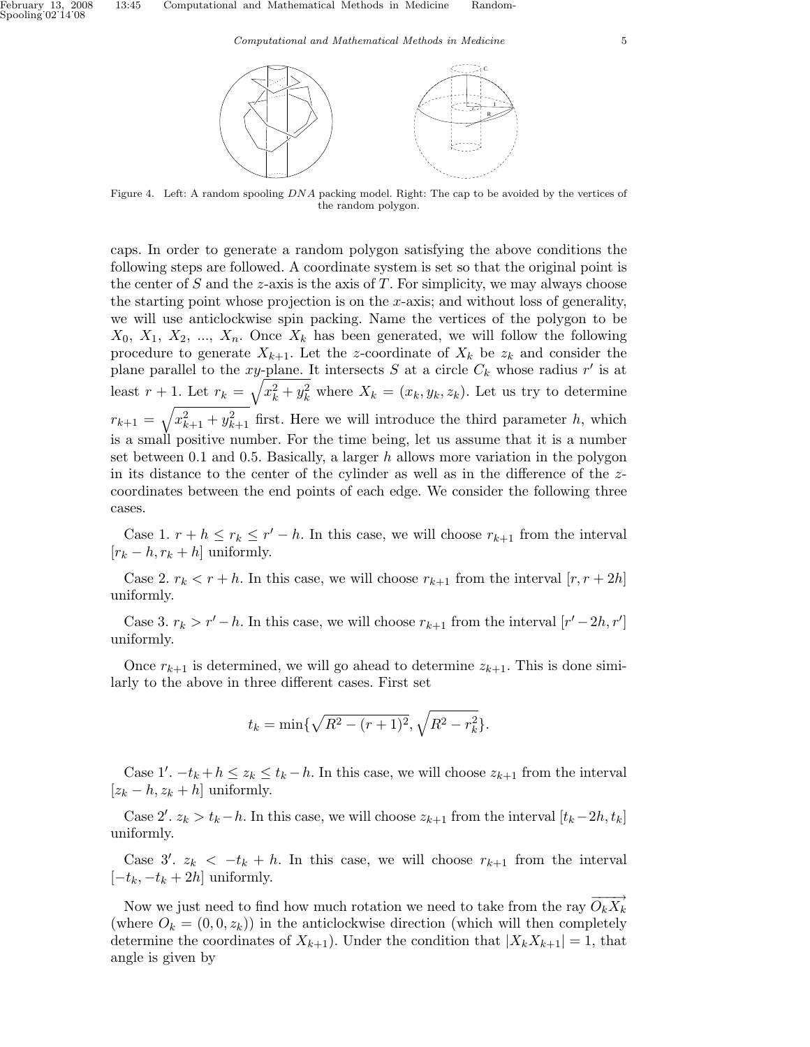

Figure 4. Left: A random spooling DNA packing model. Right: The cap to be avoided by the vertices of the random polygon.

caps. In order to generate a random polygon satisfying the above conditions the following steps are followed. A coordinate system is set so that the original point is the center of  $S$  and the  $z$ -axis is the axis of  $T$ . For simplicity, we may always choose the starting point whose projection is on the x-axis; and without loss of generality, we will use anticlockwise spin packing. Name the vertices of the polygon to be  $X_0, X_1, X_2, \ldots, X_n$ . Once  $X_k$  has been generated, we will follow the following procedure to generate  $X_{k+1}$ . Let the z-coordinate of  $X_k$  be  $z_k$  and consider the plane parallel to the xy-plane. It intersects S at a circle  $C_k$  whose radius r' is at least  $r + 1$ . Let  $r_k = \sqrt{x_k^2 + y_k^2}$  where  $X_k = (x_k, y_k, z_k)$ . Let us try to determine  $r_{k+1} = \sqrt{x_{k+1}^2 + y_{k+1}^2}$  first. Here we will introduce the third parameter h, which is a small positive number. For the time being, let us assume that it is a number set between 0.1 and 0.5. Basically, a larger  $h$  allows more variation in the polygon in its distance to the center of the cylinder as well as in the difference of the  $z$ coordinates between the end points of each edge. We consider the following three cases.

Case 1.  $r + h \leq r_k \leq r' - h$ . In this case, we will choose  $r_{k+1}$  from the interval  $[r_k - h, r_k + h]$  uniformly.

Case 2.  $r_k < r + h$ . In this case, we will choose  $r_{k+1}$  from the interval  $[r, r + 2h]$ uniformly.

Case 3.  $r_k > r' - h$ . In this case, we will choose  $r_{k+1}$  from the interval  $[r'-2h, r']$ uniformly.

Once  $r_{k+1}$  is determined, we will go ahead to determine  $z_{k+1}$ . This is done similarly to the above in three different cases. First set

$$
t_k = \min\{\sqrt{R^2 - (r+1)^2}, \sqrt{R^2 - r_k^2}\}.
$$

Case 1'.  $-t_k + h \leq z_k \leq t_k - h$ . In this case, we will choose  $z_{k+1}$  from the interval  $[z_k - h, z_k + h]$  uniformly.

Case 2'.  $z_k > t_k - h$ . In this case, we will choose  $z_{k+1}$  from the interval  $[t_k-2h, t_k]$ uniformly.

Case 3'.  $z_k < -t_k + h$ . In this case, we will choose  $r_{k+1}$  from the interval  $[-t_k, -t_k + 2h]$  uniformly.

Now we just need to find how much rotation we need to take from the ray  $O_k X_k$ (where  $O_k = (0, 0, z_k)$ ) in the anticlockwise direction (which will then completely determine the coordinates of  $X_{k+1}$ ). Under the condition that  $|X_kX_{k+1}| = 1$ , that angle is given by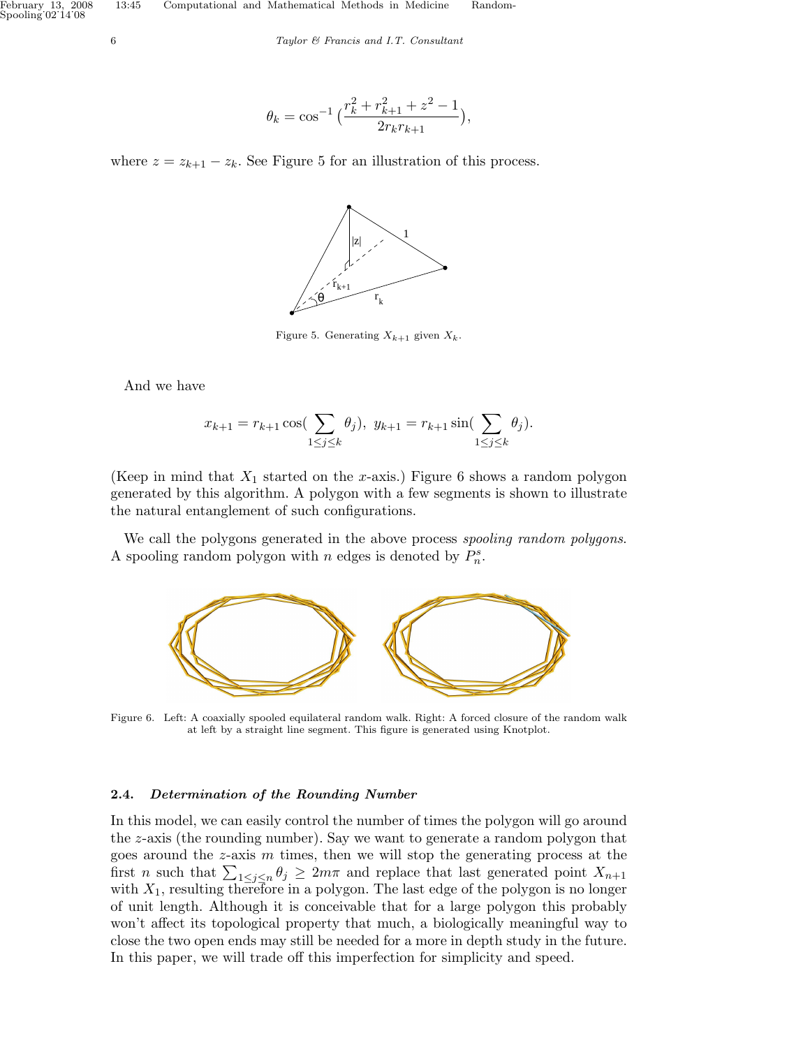$$
\theta_k = \cos^{-1}\left(\frac{r_k^2 + r_{k+1}^2 + z^2 - 1}{2r_kr_{k+1}}\right),\,
$$

where  $z = z_{k+1} - z_k$ . See Figure 5 for an illustration of this process.



Figure 5. Generating  $X_{k+1}$  given  $X_k$ .

And we have

$$
x_{k+1} = r_{k+1} \cos(\sum_{1 \le j \le k} \theta_j), \ y_{k+1} = r_{k+1} \sin(\sum_{1 \le j \le k} \theta_j).
$$

(Keep in mind that  $X_1$  started on the x-axis.) Figure 6 shows a random polygon generated by this algorithm. A polygon with a few segments is shown to illustrate the natural entanglement of such configurations.

We call the polygons generated in the above process spooling random polygons. A spooling random polygon with *n* edges is denoted by  $P_n^s$ .



Figure 6. Left: A coaxially spooled equilateral random walk. Right: A forced closure of the random walk at left by a straight line segment. This figure is generated using Knotplot.

# 2.4. Determination of the Rounding Number

In this model, we can easily control the number of times the polygon will go around the z-axis (the rounding number). Say we want to generate a random polygon that goes around the  $z$ -axis  $m$  times, then we will stop the generating process at the goes around the *z*-axis *m* times, then we will stop the generating process at the first *n* such that  $\sum_{1 \leq j \leq n} \theta_j \geq 2m\pi$  and replace that last generated point  $X_{n+1}$ with  $X_1$ , resulting therefore in a polygon. The last edge of the polygon is no longer of unit length. Although it is conceivable that for a large polygon this probably won't affect its topological property that much, a biologically meaningful way to close the two open ends may still be needed for a more in depth study in the future. In this paper, we will trade off this imperfection for simplicity and speed.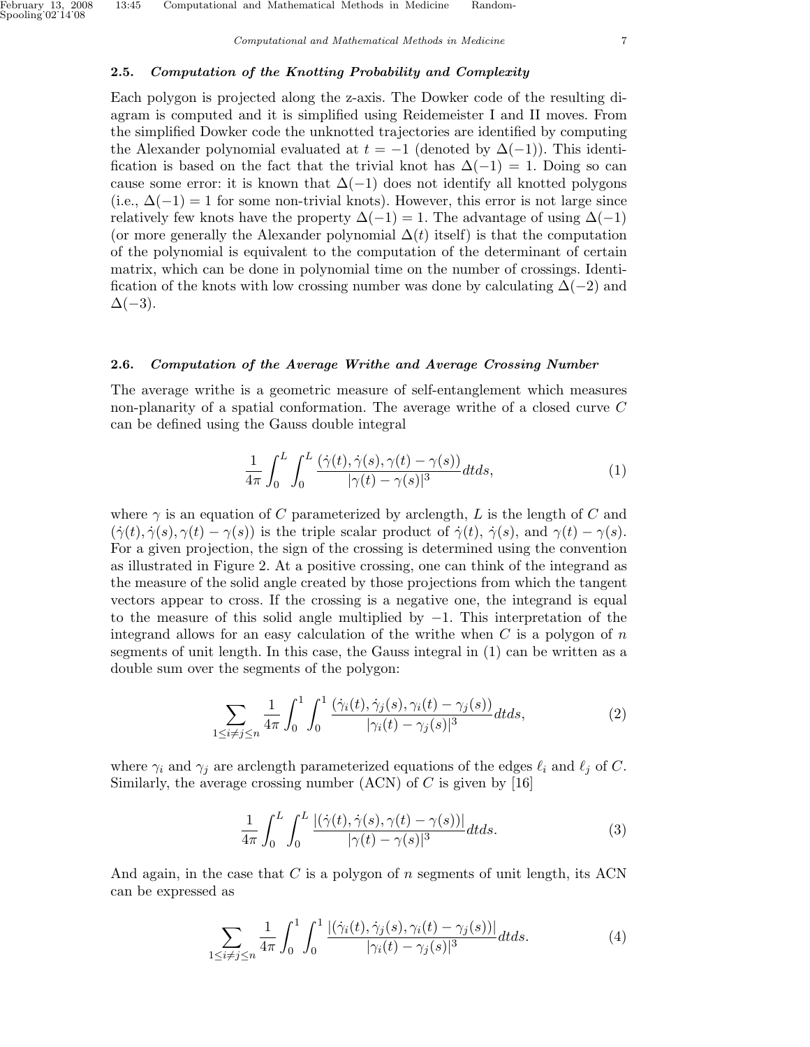#### 2.5. Computation of the Knotting Probability and Complexity

Each polygon is projected along the z-axis. The Dowker code of the resulting diagram is computed and it is simplified using Reidemeister I and II moves. From the simplified Dowker code the unknotted trajectories are identified by computing the Alexander polynomial evaluated at  $t = -1$  (denoted by  $\Delta(-1)$ ). This identification is based on the fact that the trivial knot has  $\Delta(-1) = 1$ . Doing so can cause some error: it is known that  $\Delta(-1)$  does not identify all knotted polygons (i.e.,  $\Delta(-1) = 1$  for some non-trivial knots). However, this error is not large since relatively few knots have the property  $\Delta(-1) = 1$ . The advantage of using  $\Delta(-1)$ (or more generally the Alexander polynomial  $\Delta(t)$  itself) is that the computation of the polynomial is equivalent to the computation of the determinant of certain matrix, which can be done in polynomial time on the number of crossings. Identification of the knots with low crossing number was done by calculating  $\Delta(-2)$  and  $\Delta(-3)$ .

#### 2.6. Computation of the Average Writhe and Average Crossing Number

The average writhe is a geometric measure of self-entanglement which measures non-planarity of a spatial conformation. The average writhe of a closed curve C can be defined using the Gauss double integral

$$
\frac{1}{4\pi} \int_0^L \int_0^L \frac{(\dot{\gamma}(t), \dot{\gamma}(s), \gamma(t) - \gamma(s))}{|\gamma(t) - \gamma(s)|^3} dt ds, \tag{1}
$$

where  $\gamma$  is an equation of C parameterized by arclength, L is the length of C and  $(\dot{\gamma}(t), \dot{\gamma}(s), \gamma(t) - \gamma(s))$  is the triple scalar product of  $\dot{\gamma}(t), \dot{\gamma}(s)$ , and  $\gamma(t) - \gamma(s)$ . For a given projection, the sign of the crossing is determined using the convention as illustrated in Figure 2. At a positive crossing, one can think of the integrand as the measure of the solid angle created by those projections from which the tangent vectors appear to cross. If the crossing is a negative one, the integrand is equal to the measure of this solid angle multiplied by −1. This interpretation of the integrand allows for an easy calculation of the writhe when  $C$  is a polygon of  $n$ segments of unit length. In this case, the Gauss integral in (1) can be written as a double sum over the segments of the polygon:

$$
\sum_{1 \le i \ne j \le n} \frac{1}{4\pi} \int_0^1 \int_0^1 \frac{\left(\dot{\gamma}_i(t), \dot{\gamma}_j(s), \gamma_i(t) - \gamma_j(s)\right)}{|\gamma_i(t) - \gamma_j(s)|^3} dt ds, \tag{2}
$$

where  $\gamma_i$  and  $\gamma_j$  are arclength parameterized equations of the edges  $\ell_i$  and  $\ell_j$  of C. Similarly, the average crossing number  $(ACN)$  of C is given by [16]

$$
\frac{1}{4\pi} \int_0^L \int_0^L \frac{\left| (\dot{\gamma}(t), \dot{\gamma}(s), \gamma(t) - \gamma(s)) \right|}{|\gamma(t) - \gamma(s)|^3} dt ds.
$$
\n(3)

And again, in the case that C is a polygon of n segments of unit length, its ACN can be expressed as

$$
\sum_{1 \leq i \neq j \leq n} \frac{1}{4\pi} \int_0^1 \int_0^1 \frac{\left| (\dot{\gamma}_i(t), \dot{\gamma}_j(s), \gamma_i(t) - \gamma_j(s)) \right|}{|\gamma_i(t) - \gamma_j(s)|^3} dt ds. \tag{4}
$$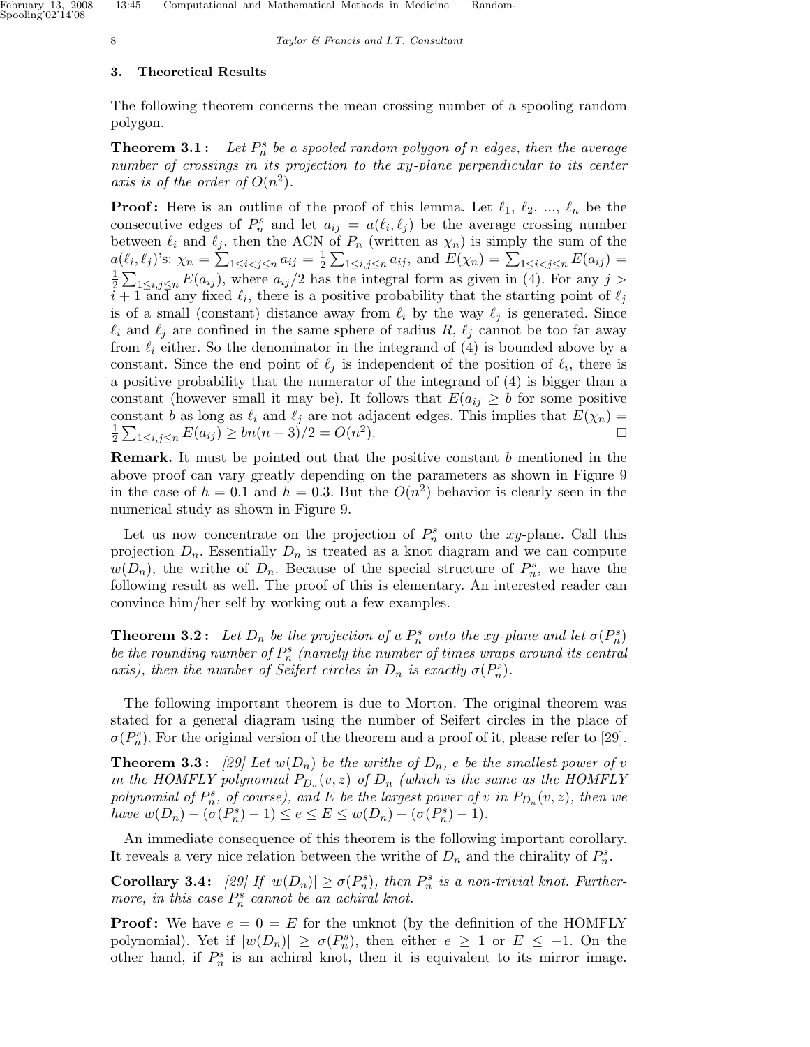# 3. Theoretical Results

The following theorem concerns the mean crossing number of a spooling random polygon.

**Theorem 3.1:** Let  $P_n^s$  be a spooled random polygon of n edges, then the average number of crossings in its projection to the xy-plane perpendicular to its center axis is of the order of  $O(n^2)$ .

**Proof:** Here is an outline of the proof of this lemma. Let  $\ell_1, \ell_2, ..., \ell_n$  be the consecutive edges of  $P_n^s$  and let  $a_{ij} = a(\ell_i, \ell_j)$  be the average crossing number between  $\ell_i$  and  $\ell_j$ , then the ACN of  $P_n$  (written as  $\chi_n$ ) is simply the sum of the  $a(\ell_i, \ell_j)$ 's:  $\chi_n = \sum_{1 \leq i < j \leq n} a_{ij} = \frac{1}{2}$ Etween  $\ell_i$  and  $\ell_j$ , then the ACN of  $P_n$  (written as  $\chi_n$ ) is simply the sum of the  $(\ell_i, \ell_j)$ 's:  $\chi_n = \sum_{1 \leq i < j \leq n} a_{ij} = \frac{1}{2} \sum_{1 \leq i, j \leq n} a_{ij}$ , and  $E(\chi_n) = \sum_{1 \leq i < j \leq n} E(a_{ij}) =$ 1  $\frac{1}{2}\sum_{1\leq i,j\leq n}E(a_{ij}),$  where  $a_{ij}/2$  has the integral form as given in (4). For any  $j>$  $i+1$  and any fixed  $\ell_i$ , there is a positive probability that the starting point of  $\ell_j$ is of a small (constant) distance away from  $\ell_i$  by the way  $\ell_j$  is generated. Since  $\ell_i$  and  $\ell_j$  are confined in the same sphere of radius R,  $\ell_j$  cannot be too far away from  $\ell_i$  either. So the denominator in the integrand of (4) is bounded above by a constant. Since the end point of  $\ell_j$  is independent of the position of  $\ell_i$ , there is a positive probability that the numerator of the integrand of (4) is bigger than a constant (however small it may be). It follows that  $E(a_{ij} \geq b$  for some positive constant b as long as  $\ell_i$  and  $\ell_j$  are not adjacent edges. This implies that  $E(\chi_n) =$ 1  $\frac{1}{2} \sum_{1 \leq i,j \leq n} E(a_{ij}) \geq bn(n-3)/2 = O(n^2)$ ).  $\qquad \qquad \Box$ 

**Remark.** It must be pointed out that the positive constant  $b$  mentioned in the above proof can vary greatly depending on the parameters as shown in Figure 9 in the case of  $h = 0.1$  and  $h = 0.3$ . But the  $O(n^2)$  behavior is clearly seen in the numerical study as shown in Figure 9.

Let us now concentrate on the projection of  $P_n^s$  onto the xy-plane. Call this projection  $D_n$ . Essentially  $D_n$  is treated as a knot diagram and we can compute  $w(D_n)$ , the writhe of  $D_n$ . Because of the special structure of  $P_n^s$ , we have the following result as well. The proof of this is elementary. An interested reader can convince him/her self by working out a few examples.

**Theorem 3.2:** Let  $D_n$  be the projection of a  $P_n^s$  onto the xy-plane and let  $\sigma(P_n^s)$ be the rounding number of  $P_n^s$  (namely the number of times wraps around its central axis), then the number of Seifert circles in  $D_n$  is exactly  $\sigma(P_n^s)$ .

The following important theorem is due to Morton. The original theorem was stated for a general diagram using the number of Seifert circles in the place of  $\sigma(P_n^s)$ . For the original version of the theorem and a proof of it, please refer to [29].

**Theorem 3.3:** [29] Let  $w(D_n)$  be the writhe of  $D_n$ , e be the smallest power of v in the HOMFLY polynomial  $P_{D_n}(v, z)$  of  $D_n$  (which is the same as the HOMFLY polynomial of  $P_n^s$ , of course), and E be the largest power of v in  $P_{D_n}(v, z)$ , then we have  $w(D_n) - (\sigma(P_n^s) - 1) \le e \le E \le w(D_n) + (\sigma(P_n^s) - 1).$ 

An immediate consequence of this theorem is the following important corollary. It reveals a very nice relation between the writhe of  $D_n$  and the chirality of  $P_n^s$ .

**Corollary 3.4:** [29] If  $|w(D_n)| \ge \sigma(P_n^s)$ , then  $P_n^s$  is a non-trivial knot. Furthermore, in this case  $P_n^s$  cannot be an achiral knot.

**Proof:** We have  $e = 0 = E$  for the unknot (by the definition of the HOMFLY polynomial). Yet if  $|w(D_n)| \ge \sigma(P_n^s)$ , then either  $e \ge 1$  or  $E \le -1$ . On the other hand, if  $P_n^s$  is an achiral knot, then it is equivalent to its mirror image.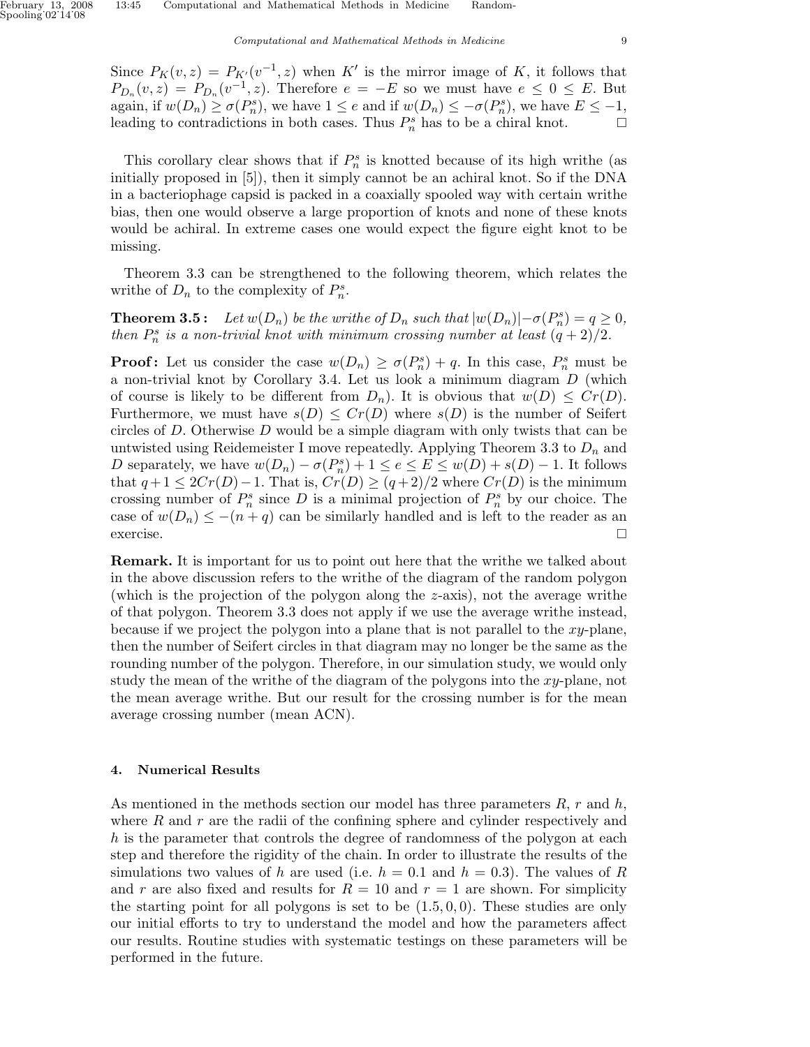Since  $P_K(v, z) = P_{K'}(v^{-1}, z)$  when K' is the mirror image of K, it follows that  $P_{D_n}(v, z) = P_{D_n}(v^{-1}, z)$ . Therefore  $e = -E$  so we must have  $e \leq 0 \leq E$ . But again, if  $w(D_n) \ge \sigma(P_n^s)$ , we have  $1 \le e$  and if  $w(D_n) \le -\sigma(P_n^s)$ , we have  $E \le -1$ , leading to contradictions in both cases. Thus  $P_n^s$  has to be a chiral knot.  $\Box$ 

This corollary clear shows that if  $P_n^s$  is knotted because of its high writhe (as initially proposed in [5]), then it simply cannot be an achiral knot. So if the DNA in a bacteriophage capsid is packed in a coaxially spooled way with certain writhe bias, then one would observe a large proportion of knots and none of these knots would be achiral. In extreme cases one would expect the figure eight knot to be missing.

Theorem 3.3 can be strengthened to the following theorem, which relates the writhe of  $D_n$  to the complexity of  $P_n^s$ .

**Theorem 3.5:** Let  $w(D_n)$  be the writhe of  $D_n$  such that  $|w(D_n)| - \sigma(P_n^s) = q \ge 0$ , then  $P_n^s$  is a non-trivial knot with minimum crossing number at least  $(q+2)/2$ .

**Proof:** Let us consider the case  $w(D_n) \ge \sigma(P_n^s) + q$ . In this case,  $P_n^s$  must be a non-trivial knot by Corollary 3.4. Let us look a minimum diagram D (which of course is likely to be different from  $D_n$ ). It is obvious that  $w(D) \leq Cr(D)$ . Furthermore, we must have  $s(D) \leq Cr(D)$  where  $s(D)$  is the number of Seifert circles of  $D$ . Otherwise  $D$  would be a simple diagram with only twists that can be untwisted using Reidemeister I move repeatedly. Applying Theorem 3.3 to  $D_n$  and D separately, we have  $w(D_n) - \sigma(P_n^s) + 1 \le e \le E \le w(D) + s(D) - 1$ . It follows that  $q+1 \leq 2Cr(D)-1$ . That is,  $Cr(D) \geq (q+2)/2$  where  $Cr(D)$  is the minimum crossing number of  $P_n^s$  since D is a minimal projection of  $P_n^s$  by our choice. The case of  $w(D_n) \leq -(n+q)$  can be similarly handled and is left to the reader as an exercise.  $\Box$ 

Remark. It is important for us to point out here that the writhe we talked about in the above discussion refers to the writhe of the diagram of the random polygon (which is the projection of the polygon along the z-axis), not the average writhe of that polygon. Theorem 3.3 does not apply if we use the average writhe instead, because if we project the polygon into a plane that is not parallel to the xy-plane, then the number of Seifert circles in that diagram may no longer be the same as the rounding number of the polygon. Therefore, in our simulation study, we would only study the mean of the writhe of the diagram of the polygons into the xy-plane, not the mean average writhe. But our result for the crossing number is for the mean average crossing number (mean ACN).

## 4. Numerical Results

As mentioned in the methods section our model has three parameters  $R$ ,  $r$  and  $h$ , where  $R$  and  $r$  are the radii of the confining sphere and cylinder respectively and h is the parameter that controls the degree of randomness of the polygon at each step and therefore the rigidity of the chain. In order to illustrate the results of the simulations two values of h are used (i.e.  $h = 0.1$  and  $h = 0.3$ ). The values of R and r are also fixed and results for  $R = 10$  and  $r = 1$  are shown. For simplicity the starting point for all polygons is set to be  $(1.5, 0, 0)$ . These studies are only our initial efforts to try to understand the model and how the parameters affect our results. Routine studies with systematic testings on these parameters will be performed in the future.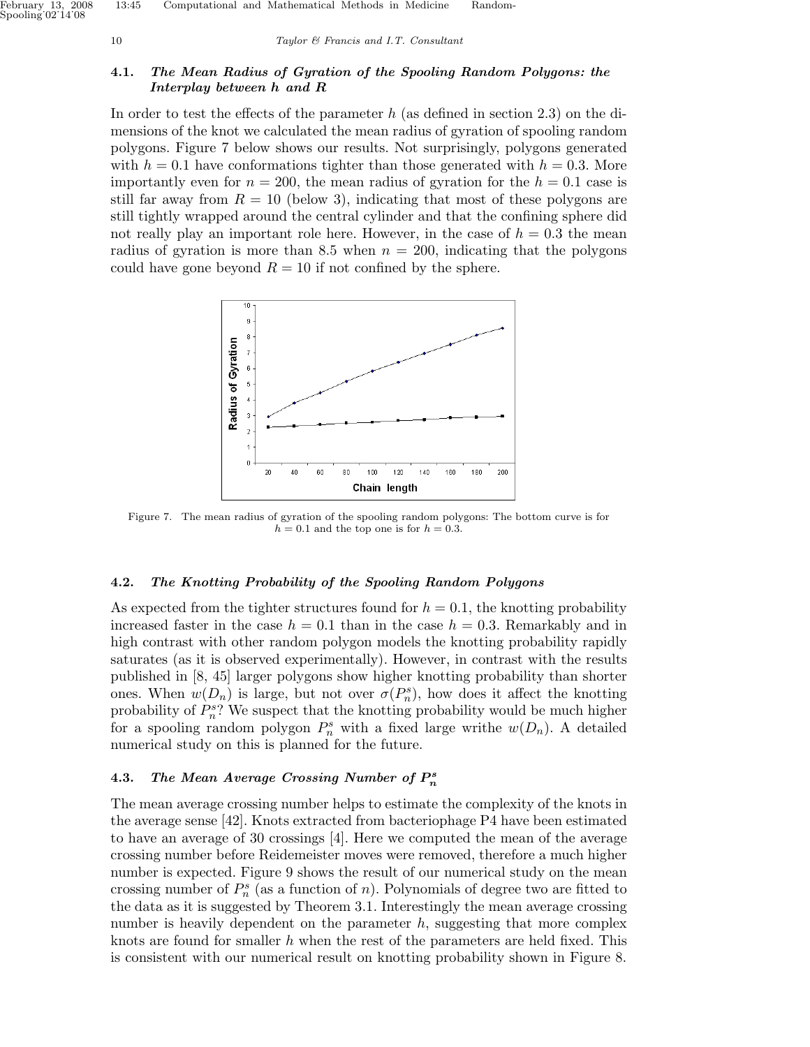Spooling˙02˙14˙08

10 Taylor & Francis and I.T. Consultant

# 4.1. The Mean Radius of Gyration of the Spooling Random Polygons: the Interplay between h and R

In order to test the effects of the parameter  $h$  (as defined in section 2.3) on the dimensions of the knot we calculated the mean radius of gyration of spooling random polygons. Figure 7 below shows our results. Not surprisingly, polygons generated with  $h = 0.1$  have conformations tighter than those generated with  $h = 0.3$ . More importantly even for  $n = 200$ , the mean radius of gyration for the  $h = 0.1$  case is still far away from  $R = 10$  (below 3), indicating that most of these polygons are still tightly wrapped around the central cylinder and that the confining sphere did not really play an important role here. However, in the case of  $h = 0.3$  the mean radius of gyration is more than 8.5 when  $n = 200$ , indicating that the polygons could have gone beyond  $R = 10$  if not confined by the sphere.



Figure 7. The mean radius of gyration of the spooling random polygons: The bottom curve is for  $h = 0.1$  and the top one is for  $h = 0.3$ .

# 4.2. The Knotting Probability of the Spooling Random Polygons

As expected from the tighter structures found for  $h = 0.1$ , the knotting probability increased faster in the case  $h = 0.1$  than in the case  $h = 0.3$ . Remarkably and in high contrast with other random polygon models the knotting probability rapidly saturates (as it is observed experimentally). However, in contrast with the results published in [8, 45] larger polygons show higher knotting probability than shorter ones. When  $w(D_n)$  is large, but not over  $\sigma(P_n^s)$ , how does it affect the knotting probability of  $P_n^s$ ? We suspect that the knotting probability would be much higher for a spooling random polygon  $P_n^s$  with a fixed large writhe  $w(D_n)$ . A detailed numerical study on this is planned for the future.

# 4.3. The Mean Average Crossing Number of  $P_n^s$

The mean average crossing number helps to estimate the complexity of the knots in the average sense [42]. Knots extracted from bacteriophage P4 have been estimated to have an average of 30 crossings [4]. Here we computed the mean of the average crossing number before Reidemeister moves were removed, therefore a much higher number is expected. Figure 9 shows the result of our numerical study on the mean crossing number of  $P_n^s$  (as a function of n). Polynomials of degree two are fitted to the data as it is suggested by Theorem 3.1. Interestingly the mean average crossing number is heavily dependent on the parameter  $h$ , suggesting that more complex knots are found for smaller h when the rest of the parameters are held fixed. This is consistent with our numerical result on knotting probability shown in Figure 8.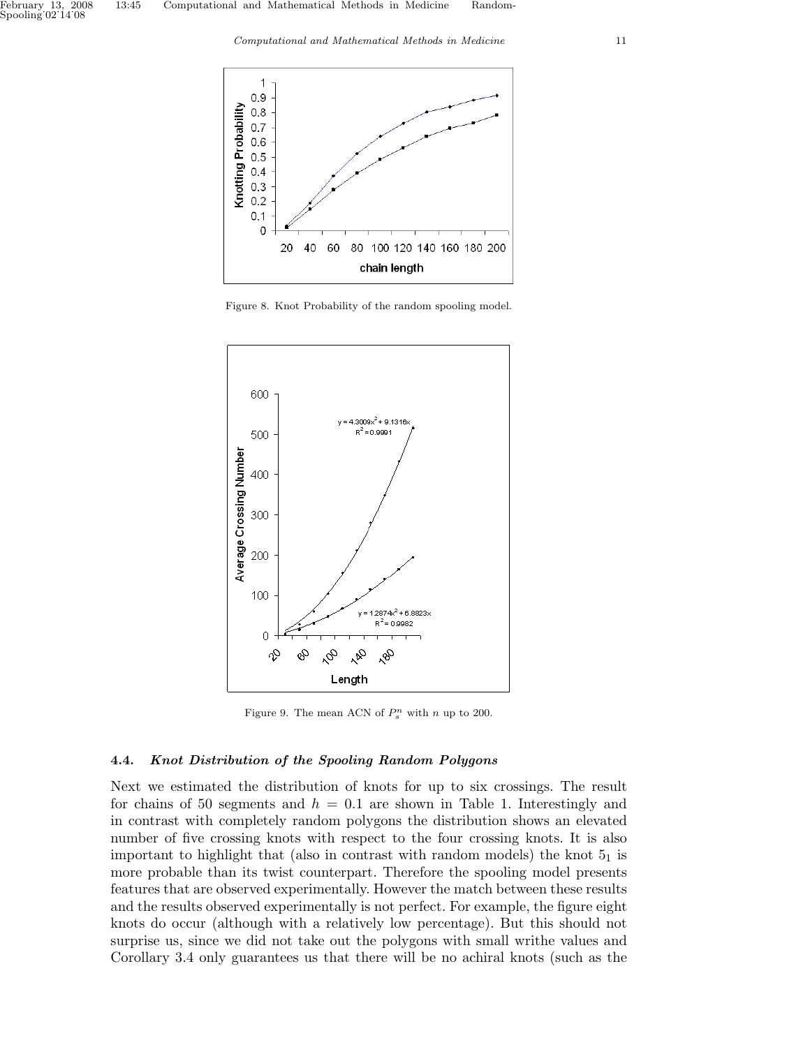Computational and Mathematical Methods in Medicine 11



Figure 8. Knot Probability of the random spooling model.



Figure 9. The mean ACN of  $P_s^n$  with n up to 200.

# 4.4. Knot Distribution of the Spooling Random Polygons

Next we estimated the distribution of knots for up to six crossings. The result for chains of 50 segments and  $h = 0.1$  are shown in Table 1. Interestingly and in contrast with completely random polygons the distribution shows an elevated number of five crossing knots with respect to the four crossing knots. It is also important to highlight that (also in contrast with random models) the knot  $5<sub>1</sub>$  is more probable than its twist counterpart. Therefore the spooling model presents features that are observed experimentally. However the match between these results and the results observed experimentally is not perfect. For example, the figure eight knots do occur (although with a relatively low percentage). But this should not surprise us, since we did not take out the polygons with small writhe values and Corollary 3.4 only guarantees us that there will be no achiral knots (such as the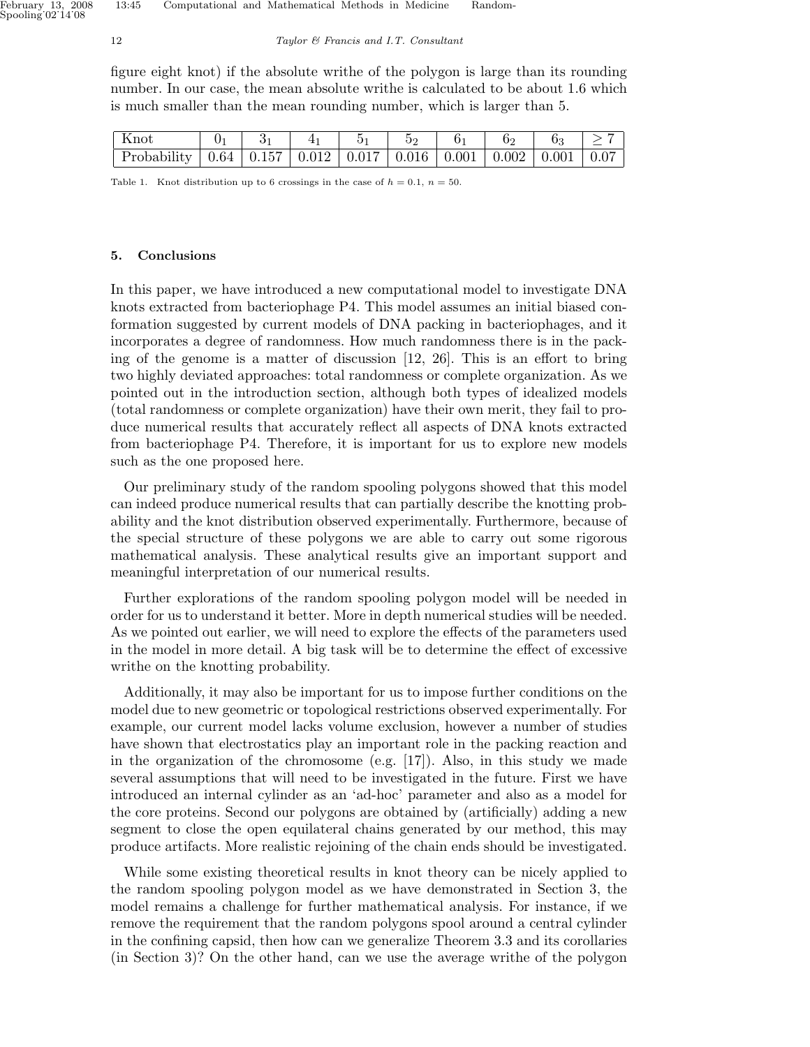figure eight knot) if the absolute writhe of the polygon is large than its rounding number. In our case, the mean absolute writhe is calculated to be about 1.6 which is much smaller than the mean rounding number, which is larger than 5.

| ∣ Knot                                                                            |  |  |  |  |  |
|-----------------------------------------------------------------------------------|--|--|--|--|--|
| Probability   0.64   0.157   0.012   0.017   0.016   0.001   0.002   0.001   0.07 |  |  |  |  |  |

Table 1. Knot distribution up to 6 crossings in the case of  $h = 0.1$ ,  $n = 50$ .

#### 5. Conclusions

In this paper, we have introduced a new computational model to investigate DNA knots extracted from bacteriophage P4. This model assumes an initial biased conformation suggested by current models of DNA packing in bacteriophages, and it incorporates a degree of randomness. How much randomness there is in the packing of the genome is a matter of discussion [12, 26]. This is an effort to bring two highly deviated approaches: total randomness or complete organization. As we pointed out in the introduction section, although both types of idealized models (total randomness or complete organization) have their own merit, they fail to produce numerical results that accurately reflect all aspects of DNA knots extracted from bacteriophage P4. Therefore, it is important for us to explore new models such as the one proposed here.

Our preliminary study of the random spooling polygons showed that this model can indeed produce numerical results that can partially describe the knotting probability and the knot distribution observed experimentally. Furthermore, because of the special structure of these polygons we are able to carry out some rigorous mathematical analysis. These analytical results give an important support and meaningful interpretation of our numerical results.

Further explorations of the random spooling polygon model will be needed in order for us to understand it better. More in depth numerical studies will be needed. As we pointed out earlier, we will need to explore the effects of the parameters used in the model in more detail. A big task will be to determine the effect of excessive writhe on the knotting probability.

Additionally, it may also be important for us to impose further conditions on the model due to new geometric or topological restrictions observed experimentally. For example, our current model lacks volume exclusion, however a number of studies have shown that electrostatics play an important role in the packing reaction and in the organization of the chromosome  $(e.g. [17])$ . Also, in this study we made several assumptions that will need to be investigated in the future. First we have introduced an internal cylinder as an 'ad-hoc' parameter and also as a model for the core proteins. Second our polygons are obtained by (artificially) adding a new segment to close the open equilateral chains generated by our method, this may produce artifacts. More realistic rejoining of the chain ends should be investigated.

While some existing theoretical results in knot theory can be nicely applied to the random spooling polygon model as we have demonstrated in Section 3, the model remains a challenge for further mathematical analysis. For instance, if we remove the requirement that the random polygons spool around a central cylinder in the confining capsid, then how can we generalize Theorem 3.3 and its corollaries (in Section 3)? On the other hand, can we use the average writhe of the polygon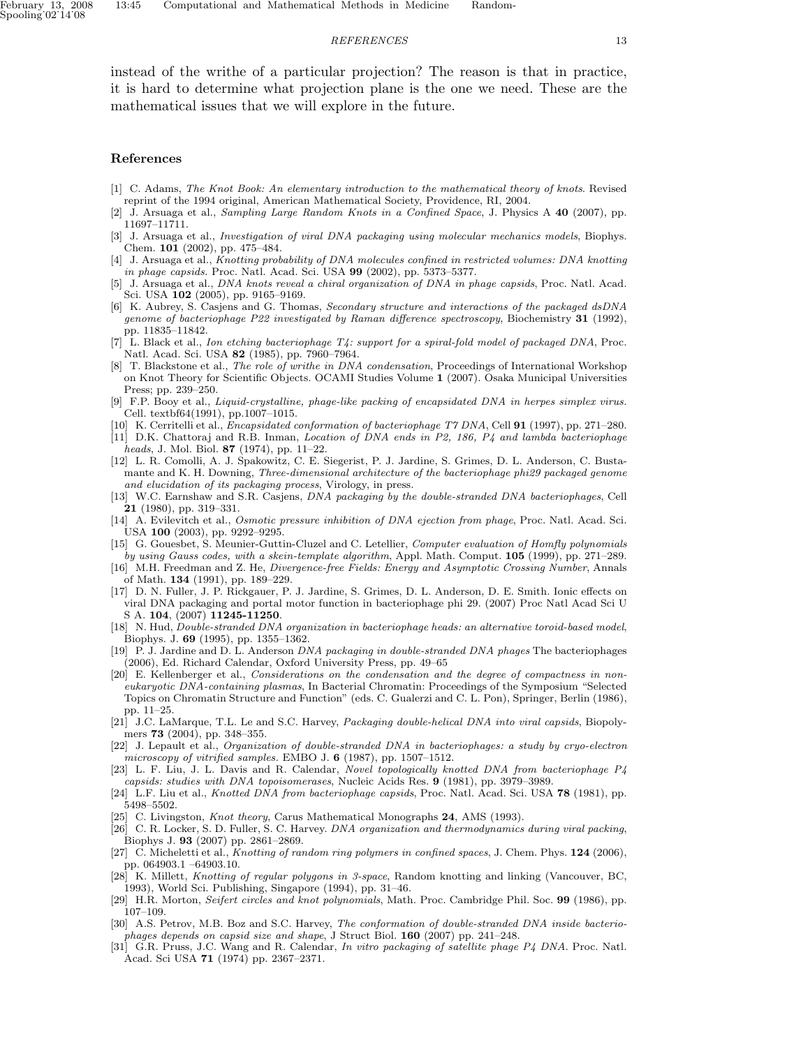#### REFERENCES 13

instead of the writhe of a particular projection? The reason is that in practice, it is hard to determine what projection plane is the one we need. These are the mathematical issues that we will explore in the future.

## References

- [1] C. Adams, The Knot Book: An elementary introduction to the mathematical theory of knots. Revised reprint of the 1994 original, American Mathematical Society, Providence, RI, 2004.
- [2] J. Arsuaga et al., Sampling Large Random Knots in a Confined Space, J. Physics A 40 (2007), pp. 11697–11711.
- [3] J. Arsuaga et al., Investigation of viral DNA packaging using molecular mechanics models, Biophys. Chem. 101 (2002), pp. 475–484.
- [4] J. Arsuaga et al., Knotting probability of DNA molecules confined in restricted volumes: DNA knotting in phage capsids. Proc. Natl. Acad. Sci. USA 99 (2002), pp. 5373–5377.
- [5] J. Arsuaga et al., DNA knots reveal a chiral organization of DNA in phage capsids, Proc. Natl. Acad. Sci. USA 102 (2005), pp. 9165–9169.
- [6] K. Aubrey, S. Casjens and G. Thomas, Secondary structure and interactions of the packaged dsDNA genome of bacteriophage P22 investigated by Raman difference spectroscopy, Biochemistry 31 (1992), pp. 11835–11842.
- [7] L. Black et al., Ion etching bacteriophage T4: support for a spiral-fold model of packaged DNA, Proc. Natl. Acad. Sci. USA 82 (1985), pp. 7960–7964.
- [8] T. Blackstone et al., The role of writhe in DNA condensation, Proceedings of International Workshop on Knot Theory for Scientific Objects. OCAMI Studies Volume 1 (2007). Osaka Municipal Universities Press; pp. 239–250.
- [9] F.P. Booy et al., Liquid-crystalline, phage-like packing of encapsidated DNA in herpes simplex virus. Cell. textbf64(1991), pp.1007–1015.
- [10] K. Cerritelli et al., Encapsidated conformation of bacteriophage T7 DNA, Cell 91 (1997), pp. 271–280.
- [11] D.K. Chattoraj and R.B. Inman, Location of DNA ends in P2, 186, P4 and lambda bacteriophage heads, J. Mol. Biol. 87 (1974), pp. 11–22.
- [12] L. R. Comolli, A. J. Spakowitz, C. E. Siegerist, P. J. Jardine, S. Grimes, D. L. Anderson, C. Bustamante and K. H. Downing, Three-dimensional architecture of the bacteriophage phi29 packaged genome and elucidation of its packaging process, Virology, in press.
- [13] W.C. Earnshaw and S.R. Casjens, *DNA packaging by the double-stranded DNA bacteriophages*, Cell 21 (1980), pp. 319–331.
- [14] A. Evilevitch et al., *Osmotic pressure inhibition of DNA ejection from phage*, Proc. Natl. Acad. Sci. USA 100 (2003), pp. 9292–9295.
- [15] G. Gouesbet, S. Meunier-Guttin-Cluzel and C. Letellier, Computer evaluation of Homfly polynomials by using Gauss codes, with a skein-template algorithm, Appl. Math. Comput. 105 (1999), pp. 271–289.
- [16] M.H. Freedman and Z. He, Divergence-free Fields: Energy and Asymptotic Crossing Number, Annals of Math. 134 (1991), pp. 189–229.
- [17] D. N. Fuller, J. P. Rickgauer, P. J. Jardine, S. Grimes, D. L. Anderson, D. E. Smith. Ionic effects on viral DNA packaging and portal motor function in bacteriophage phi 29. (2007) Proc Natl Acad Sci U S A. 104, (2007) 11245-11250.
- [18] N. Hud, Double-stranded DNA organization in bacteriophage heads: an alternative toroid-based model, Biophys. J. 69 (1995), pp. 1355–1362.
- [19] P. J. Jardine and D. L. Anderson DNA packaging in double-stranded DNA phages The bacteriophages (2006), Ed. Richard Calendar, Oxford University Press, pp. 49–65
- [20] E. Kellenberger et al., Considerations on the condensation and the degree of compactness in noneukaryotic DNA-containing plasmas, In Bacterial Chromatin: Proceedings of the Symposium "Selected Topics on Chromatin Structure and Function" (eds. C. Gualerzi and C. L. Pon), Springer, Berlin (1986), pp. 11–25.
- [21] J.C. LaMarque, T.L. Le and S.C. Harvey, *Packaging double-helical DNA into viral capsids*, Biopolymers 73 (2004), pp. 348–355.
- [22] J. Lepault et al., Organization of double-stranded DNA in bacteriophages: a study by cryo-electron microscopy of vitrified samples. EMBO J. 6 (1987), pp. 1507–1512.
- [23] L. F. Liu, J. L. Davis and R. Calendar, Novel topologically knotted DNA from bacteriophage P4 capsids: studies with DNA topoisomerases, Nucleic Acids Res. 9 (1981), pp. 3979–3989.
- [24] L.F. Liu et al., *Knotted DNA from bacteriophage capsids*, Proc. Natl. Acad. Sci. USA **78** (1981), pp. 5498–5502.
- [25] C. Livingston, *Knot theory*, Carus Mathematical Monographs 24, AMS (1993).
- [26] C. R. Locker, S. D. Fuller, S. C. Harvey. DNA organization and thermodynamics during viral packing, Biophys J. 93 (2007) pp. 2861–2869.
- [27] C. Micheletti et al., *Knotting of random ring polymers in confined spaces*, J. Chem. Phys. **124** (2006), pp. 064903.1 –64903.10.
- [28] K. Millett, Knotting of regular polygons in 3-space, Random knotting and linking (Vancouver, BC, 1993), World Sci. Publishing, Singapore (1994), pp. 31–46.
- [29] H.R. Morton, Seifert circles and knot polynomials, Math. Proc. Cambridge Phil. Soc. 99 (1986), pp. 107–109.
- [30] A.S. Petrov, M.B. Boz and S.C. Harvey, The conformation of double-stranded DNA inside bacteriophages depends on capsid size and shape, J Struct Biol. 160 (2007) pp. 241–248.
- [31] G.R. Pruss, J.C. Wang and R. Calendar, In vitro packaging of satellite phage P4 DNA. Proc. Natl. Acad. Sci USA 71 (1974) pp. 2367–2371.